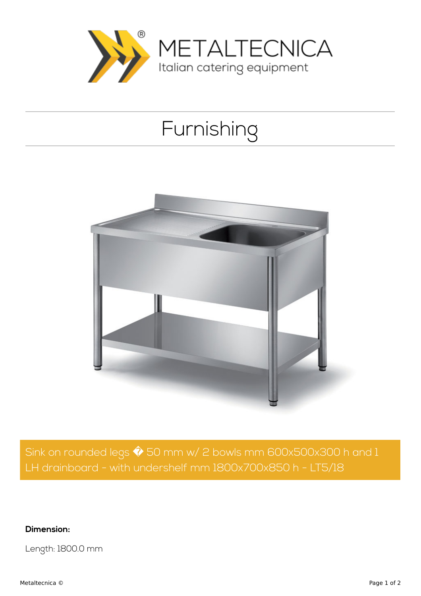

## Furnishing



Sink on rounded legs  $\hat{\blacklozenge}$  50 mm w/ 2 bowls mm 600x500x300 h and 1 LH drainboard - with undershelf mm 1800x700x850 h - LT5/18

**Dimension:**

Length: 1800.0 mm